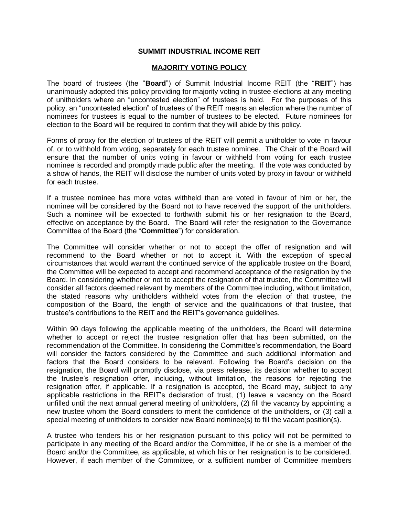## **SUMMIT INDUSTRIAL INCOME REIT**

## **MAJORITY VOTING POLICY**

The board of trustees (the "**Board**") of Summit Industrial Income REIT (the "**REIT**") has unanimously adopted this policy providing for majority voting in trustee elections at any meeting of unitholders where an "uncontested election" of trustees is held. For the purposes of this policy, an "uncontested election" of trustees of the REIT means an election where the number of nominees for trustees is equal to the number of trustees to be elected. Future nominees for election to the Board will be required to confirm that they will abide by this policy.

Forms of proxy for the election of trustees of the REIT will permit a unitholder to vote in favour of, or to withhold from voting, separately for each trustee nominee. The Chair of the Board will ensure that the number of units voting in favour or withheld from voting for each trustee nominee is recorded and promptly made public after the meeting. If the vote was conducted by a show of hands, the REIT will disclose the number of units voted by proxy in favour or withheld for each trustee.

If a trustee nominee has more votes withheld than are voted in favour of him or her, the nominee will be considered by the Board not to have received the support of the unitholders. Such a nominee will be expected to forthwith submit his or her resignation to the Board, effective on acceptance by the Board. The Board will refer the resignation to the Governance Committee of the Board (the "**Committee**") for consideration.

The Committee will consider whether or not to accept the offer of resignation and will recommend to the Board whether or not to accept it. With the exception of special circumstances that would warrant the continued service of the applicable trustee on the Board, the Committee will be expected to accept and recommend acceptance of the resignation by the Board. In considering whether or not to accept the resignation of that trustee, the Committee will consider all factors deemed relevant by members of the Committee including, without limitation, the stated reasons why unitholders withheld votes from the election of that trustee, the composition of the Board, the length of service and the qualifications of that trustee, that trustee's contributions to the REIT and the REIT's governance guidelines.

Within 90 days following the applicable meeting of the unitholders, the Board will determine whether to accept or reject the trustee resignation offer that has been submitted, on the recommendation of the Committee. In considering the Committee's recommendation, the Board will consider the factors considered by the Committee and such additional information and factors that the Board considers to be relevant. Following the Board's decision on the resignation, the Board will promptly disclose, via press release, its decision whether to accept the trustee's resignation offer, including, without limitation, the reasons for rejecting the resignation offer, if applicable. If a resignation is accepted, the Board may, subject to any applicable restrictions in the REIT's declaration of trust, (1) leave a vacancy on the Board unfilled until the next annual general meeting of unitholders, (2) fill the vacancy by appointing a new trustee whom the Board considers to merit the confidence of the unitholders, or (3) call a special meeting of unitholders to consider new Board nominee(s) to fill the vacant position(s).

A trustee who tenders his or her resignation pursuant to this policy will not be permitted to participate in any meeting of the Board and/or the Committee, if he or she is a member of the Board and/or the Committee, as applicable, at which his or her resignation is to be considered. However, if each member of the Committee, or a sufficient number of Committee members